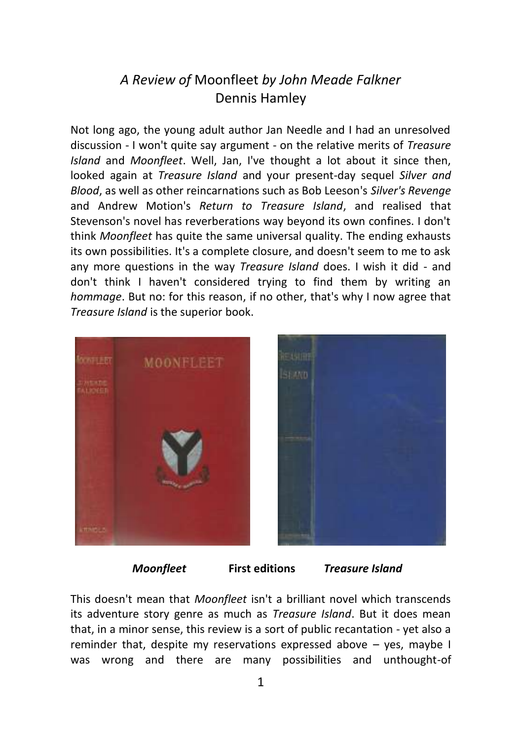## *A Review of* Moonfleet *by John Meade Falkner* Dennis Hamley

Not long ago, the young adult author Jan Needle and I had an unresolved discussion - I won't quite say argument - on the relative merits of *Treasure Island* and *Moonfleet*. Well, Jan, I've thought a lot about it since then, looked again at *Treasure Island* and your present-day sequel *Silver and Blood*, as well as other reincarnations such as Bob Leeson's *Silver's Revenge* and Andrew Motion's *Return to Treasure Island*, and realised that Stevenson's novel has reverberations way beyond its own confines. I don't think *Moonfleet* has quite the same universal quality. The ending exhausts its own possibilities. It's a complete closure, and doesn't seem to me to ask any more questions in the way *Treasure Island* does. I wish it did - and don't think I haven't considered trying to find them by writing an *hommage*. But no: for this reason, if no other, that's why I now agree that *Treasure Island* is the superior book.



 *Moonfleet* **First editions** *Treasure Island*

This doesn't mean that *Moonfleet* isn't a brilliant novel which transcends its adventure story genre as much as *Treasure Island*. But it does mean that, in a minor sense, this review is a sort of public recantation - yet also a reminder that, despite my reservations expressed above – yes, maybe I was wrong and there are many possibilities and unthought-of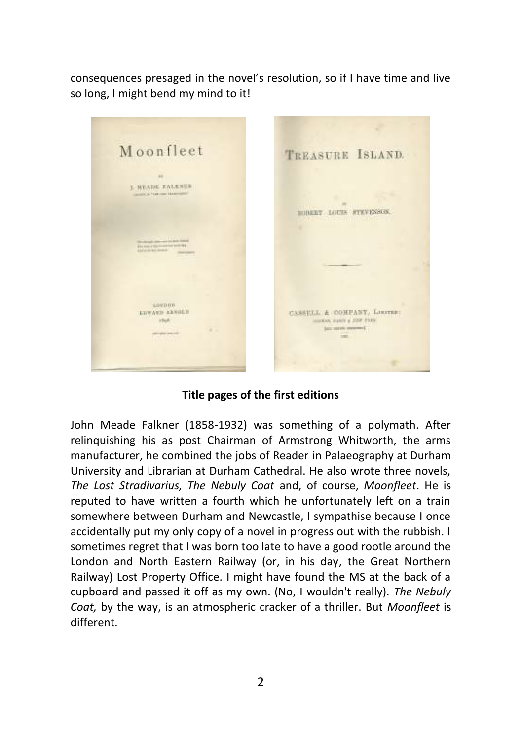consequences presaged in the novel's resolution, so if I have time and live so long, I might bend my mind to it!



**Title pages of the first editions**

John Meade Falkner (1858-1932) was something of a polymath. After relinquishing his as post Chairman of Armstrong Whitworth, the arms manufacturer, he combined the jobs of Reader in Palaeography at Durham University and Librarian at Durham Cathedral. He also wrote three novels, *The Lost Stradivarius, The Nebuly Coat* and, of course, *Moonfleet*. He is reputed to have written a fourth which he unfortunately left on a train somewhere between Durham and Newcastle, I sympathise because I once accidentally put my only copy of a novel in progress out with the rubbish. I sometimes regret that I was born too late to have a good rootle around the London and North Eastern Railway (or, in his day, the Great Northern Railway) Lost Property Office. I might have found the MS at the back of a cupboard and passed it off as my own. (No, I wouldn't really). *The Nebuly Coat,* by the way, is an atmospheric cracker of a thriller. But *Moonfleet* is different.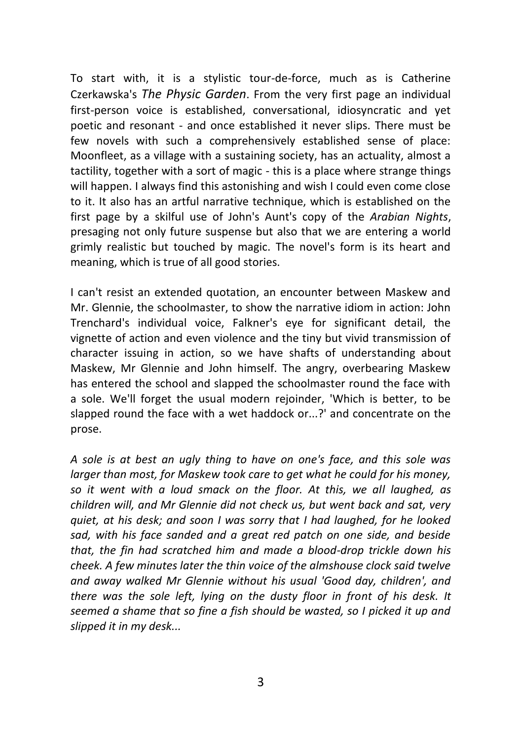To start with, it is a stylistic tour-de-force, much as is Catherine Czerkawska's *The Physic Garden*. From the very first page an individual first-person voice is established, conversational, idiosyncratic and yet poetic and resonant - and once established it never slips. There must be few novels with such a comprehensively established sense of place: Moonfleet, as a village with a sustaining society, has an actuality, almost a tactility, together with a sort of magic - this is a place where strange things will happen. I always find this astonishing and wish I could even come close to it. It also has an artful narrative technique, which is established on the first page by a skilful use of John's Aunt's copy of the *Arabian Nights*, presaging not only future suspense but also that we are entering a world grimly realistic but touched by magic. The novel's form is its heart and meaning, which is true of all good stories.

I can't resist an extended quotation, an encounter between Maskew and Mr. Glennie, the schoolmaster, to show the narrative idiom in action: John Trenchard's individual voice, Falkner's eye for significant detail, the vignette of action and even violence and the tiny but vivid transmission of character issuing in action, so we have shafts of understanding about Maskew, Mr Glennie and John himself. The angry, overbearing Maskew has entered the school and slapped the schoolmaster round the face with a sole. We'll forget the usual modern rejoinder, 'Which is better, to be slapped round the face with a wet haddock or...?' and concentrate on the prose.

*A sole is at best an ugly thing to have on one's face, and this sole was larger than most, for Maskew took care to get what he could for his money, so it went with a loud smack on the floor. At this, we all laughed, as children will, and Mr Glennie did not check us, but went back and sat, very quiet, at his desk; and soon I was sorry that I had laughed, for he looked sad, with his face sanded and a great red patch on one side, and beside that, the fin had scratched him and made a blood-drop trickle down his cheek. A few minutes later the thin voice of the almshouse clock said twelve and away walked Mr Glennie without his usual 'Good day, children', and there was the sole left, lying on the dusty floor in front of his desk. It seemed a shame that so fine a fish should be wasted, so I picked it up and slipped it in my desk...*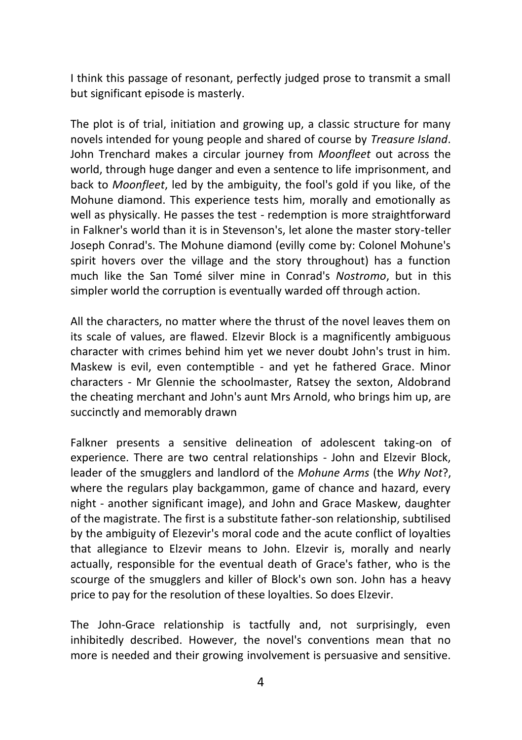I think this passage of resonant, perfectly judged prose to transmit a small but significant episode is masterly.

The plot is of trial, initiation and growing up, a classic structure for many novels intended for young people and shared of course by *Treasure Island*. John Trenchard makes a circular journey from *Moonfleet* out across the world, through huge danger and even a sentence to life imprisonment, and back to *Moonfleet*, led by the ambiguity, the fool's gold if you like, of the Mohune diamond. This experience tests him, morally and emotionally as well as physically. He passes the test - redemption is more straightforward in Falkner's world than it is in Stevenson's, let alone the master story-teller Joseph Conrad's. The Mohune diamond (evilly come by: Colonel Mohune's spirit hovers over the village and the story throughout) has a function much like the San Tomé silver mine in Conrad's *Nostromo*, but in this simpler world the corruption is eventually warded off through action.

All the characters, no matter where the thrust of the novel leaves them on its scale of values, are flawed. Elzevir Block is a magnificently ambiguous character with crimes behind him yet we never doubt John's trust in him. Maskew is evil, even contemptible - and yet he fathered Grace. Minor characters - Mr Glennie the schoolmaster, Ratsey the sexton, Aldobrand the cheating merchant and John's aunt Mrs Arnold, who brings him up, are succinctly and memorably drawn

Falkner presents a sensitive delineation of adolescent taking-on of experience. There are two central relationships - John and Elzevir Block, leader of the smugglers and landlord of the *Mohune Arms* (the *Why Not*?, where the regulars play backgammon, game of chance and hazard, every night - another significant image), and John and Grace Maskew, daughter of the magistrate. The first is a substitute father-son relationship, subtilised by the ambiguity of Elezevir's moral code and the acute conflict of loyalties that allegiance to Elzevir means to John. Elzevir is, morally and nearly actually, responsible for the eventual death of Grace's father, who is the scourge of the smugglers and killer of Block's own son. John has a heavy price to pay for the resolution of these loyalties. So does Elzevir.

The John-Grace relationship is tactfully and, not surprisingly, even inhibitedly described. However, the novel's conventions mean that no more is needed and their growing involvement is persuasive and sensitive.